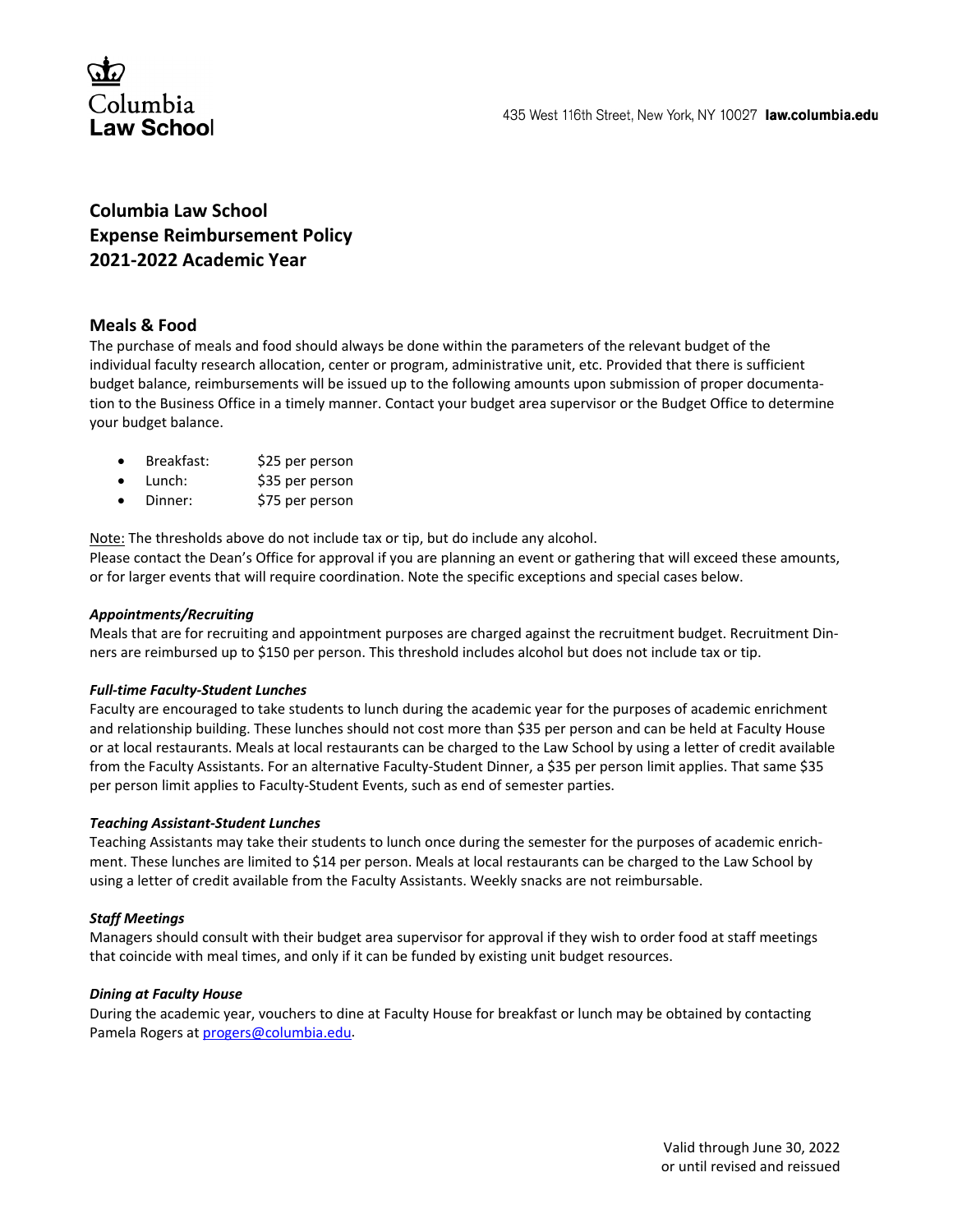

# **Columbia Law School Expense Reimbursement Policy 2021-2022 Academic Year**

# **Meals & Food**

The purchase of meals and food should always be done within the parameters of the relevant budget of the individual faculty research allocation, center or program, administrative unit, etc. Provided that there is sufficient budget balance, reimbursements will be issued up to the following amounts upon submission of proper documentation to the Business Office in a timely manner. Contact your budget area supervisor or the Budget Office to determine your budget balance.

- Breakfast: \$25 per person
- Lunch: \$35 per person
- Dinner: \$75 per person

Note: The thresholds above do not include tax or tip, but do include any alcohol.

Please contact the Dean's Office for approval if you are planning an event or gathering that will exceed these amounts, or for larger events that will require coordination. Note the specific exceptions and special cases below.

### *Appointments/Recruiting*

Meals that are for recruiting and appointment purposes are charged against the recruitment budget. Recruitment Dinners are reimbursed up to \$150 per person. This threshold includes alcohol but does not include tax or tip.

# *Full-time Faculty-Student Lunches*

Faculty are encouraged to take students to lunch during the academic year for the purposes of academic enrichment and relationship building. These lunches should not cost more than \$35 per person and can be held at Faculty House or at local restaurants. Meals at local restaurants can be charged to the Law School by using a letter of credit available from the Faculty Assistants. For an alternative Faculty-Student Dinner, a \$35 per person limit applies. That same \$35 per person limit applies to Faculty-Student Events, such as end of semester parties.

### *Teaching Assistant-Student Lunches*

Teaching Assistants may take their students to lunch once during the semester for the purposes of academic enrichment. These lunches are limited to \$14 per person. Meals at local restaurants can be charged to the Law School by using a letter of credit available from the Faculty Assistants. Weekly snacks are not reimbursable.

# *Staff Meetings*

Managers should consult with their budget area supervisor for approval if they wish to order food at staff meetings that coincide with meal times, and only if it can be funded by existing unit budget resources.

### *Dining at Faculty House*

During the academic year, vouchers to dine at Faculty House for breakfast or lunch may be obtained by contacting Pamela Rogers a[t progers@columbia.edu.](mailto:progers@columbia.edu)